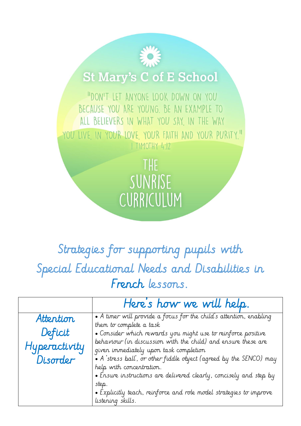## **St Mary's C of E School**

"DON'T LET ANYONE LOOK DOWN ON YOU BECAUSE YOU ARE YOUNG. BE AN EXAMPLE TO ALL BELIEVERS IN WHAT YOU SAY, IN THE WAY YOU LIVE IN YOUR LOVE YOUR FAITH AND YOUR PURITY." I TIMOTHY 4:12

> THE SUNRISE CURRICULUM

## Strategies for supporting pupils with Special Educational Needs and Disabilities in French lessons.

|               | Here's how we will help.                                                                                    |
|---------------|-------------------------------------------------------------------------------------------------------------|
| Attention     | • A timer will provide a focus for the child's attention, enabling                                          |
| Deficit       | them to complete a task<br>. Consider which rewards you might use to reinforce positive                     |
| Hyperactivity | behaviour (in discussion with the child) and ensure these are                                               |
| Disorder      | given immediately upon task completion<br>• A stress ball, or other fiddle object (agreed by the SENCO) may |
|               | help with concentration.<br>• Ensure instructions are delivered clearly, concisely and step by              |
|               | step.                                                                                                       |
|               | • Explicitly teach, reinforce and role model strategies to improve                                          |
|               | listening skills.                                                                                           |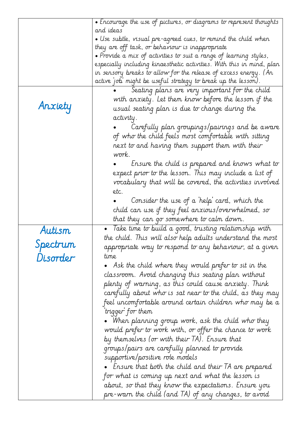|          | • Encourage the use of pictures, or diagrams to represent thoughts        |
|----------|---------------------------------------------------------------------------|
|          | and ideas                                                                 |
|          | $\bullet$ Use subtle, visual pre-agreed cues, to remind the child when    |
|          | they are off task, or behaviour is inappropriate                          |
|          | $\bullet$ Provide a mix of activities to suit a range of learning styles, |
|          | especially including kinaesthetic activities. With this in mind, plan     |
|          | in sensory breaks to allow for the release of excess energy. (An          |
|          | active job might be useful strategy to break up the lesson).              |
|          | Seating plans are very important for the child                            |
| Anxiety  | with anxiety. Let them know before the lesson if the                      |
|          | usual seating plan is due to change during the                            |
|          | activity.                                                                 |
|          | Carefully plan groupings/pairings and be aware                            |
|          | of who the child feels most comfortable with sitting                      |
|          | next to and having them support them with their                           |
|          | work.                                                                     |
|          | Lrsure the child is prepared and knows what to                            |
|          | expect prior to the lesson. This may include a list of                    |
|          | vocabulary that will be covered, the activities involved                  |
|          | etc.                                                                      |
|          | Consider the use of a 'help' card, which the                              |
|          | child can use if they feel anxious/overwhelmed, so                        |
|          | that they can go somewhere to calm down.                                  |
|          | • Take time to build a good, trusting relationship with                   |
| Autism   | the child. This will also help adults understand the most                 |
| Spectrum | appropriate way to respond to any behaviour, at a given                   |
| Disorder | time                                                                      |
|          | Ask the child where they would prefer to sit in the                       |
|          | classroom. Avoid changing this seating plan without                       |
|          | plenty of warning, as this could cause anxiety. Think                     |
|          | carefully about who is sat near to the child, as they may                 |
|          |                                                                           |
|          | feel uncomfortable around certain children who may be a                   |
|          | trigger for them                                                          |
|          | • When planning group work, ask the child who they                        |
|          | would prefer to work with, or offer the chance to work                    |
|          | by themselves (or with their TA). Ensure that                             |
|          | groups/pairs are carefully planned to provide                             |
|          | supportive/positive role models                                           |
|          | $\bullet$ ) Ensure that both the child and their TA are prepared          |
|          | for what is coming up next and what the lesson is                         |
|          | about, so that they know the expectations. Ensure you                     |
|          |                                                                           |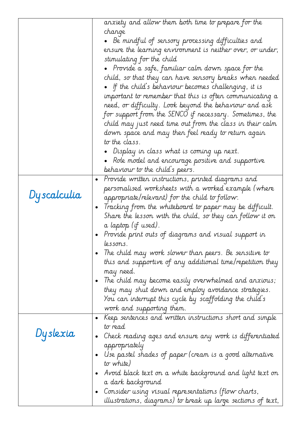|             | anxiety and allow them both time to prepare for the                   |
|-------------|-----------------------------------------------------------------------|
|             | change                                                                |
|             | $\bullet$ Be mindful of sensory processing difficulties and           |
|             | ensure the learning environment is neither over, or under,            |
|             | stimulating for the child                                             |
|             | $\bullet$ Provide a safe, familiar calm down space for the            |
|             | child, so that they can have sensory breaks when needed               |
|             | • If the child's behaviour becomes challenging, it is                 |
|             | important to remember that this is often communicating a              |
|             | need, or difficulty. Look beyond the behaviour and ask                |
|             | for support from the SENCO if necessary. Sometimes, the               |
|             | child may just need time out from the class in their calm             |
|             | down space and may then feel ready to return again                    |
|             | to the class.                                                         |
|             |                                                                       |
|             | Display in class what is coming up next.                              |
|             | $\bullet$ Role model and encourage positive and supportive            |
|             | behaviour to the child's peers.                                       |
|             | Provide written instructions, printed diagrams and<br>$\bullet$       |
| Dyscalculia | personalised worksheets with a worked example (where                  |
|             | appropriate/relevant) for the child to follow.                        |
|             | Tracking from the whiteboard to paper may be difficult.<br>$\bullet$  |
|             | Share the lesson with the child, so they can follow it on             |
|             | a laptop (if used).                                                   |
|             | Provide print outs of diagrams and visual support in                  |
|             | lessons.                                                              |
|             | The child may work slower than peers. Be sensitive to                 |
|             | this and supportive of any additional time/repetition they            |
|             | may need.                                                             |
|             | The child may become easily overwhelmed and anxious;                  |
|             | they may shut down and employ avoidance strategies.                   |
|             | You can interrupt this cycle by scaffolding the child's               |
|             | work and supporting them.                                             |
|             | Keep sentences and written instructions short and simple<br>$\bullet$ |
|             | to read                                                               |
| Dyslexia    | Check reading ages and ensure any work is differentiated              |
|             | appropriately                                                         |
|             | Use pastel shades of paper (cream is a good alternative               |
|             | to white)                                                             |
|             | Avoid black text on a white background and light text on              |
|             | a dark background                                                     |
|             | Consider using visual representations (flow charts,                   |
|             | illustrations, diagrams) to break up large sections of text,          |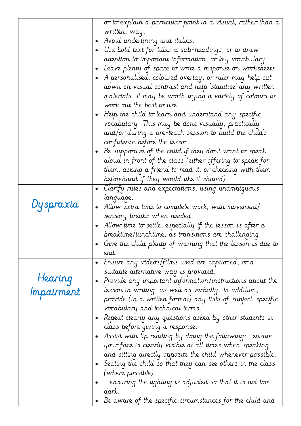|            | or to explain a particular point in a visual, rather than a            |
|------------|------------------------------------------------------------------------|
|            | written, way.                                                          |
|            | Avoid underlining and italics.                                         |
|            | Use bold text for titles $\alpha$ sub-headings, or to draw             |
|            |                                                                        |
|            | attention to important information, or key vocabulary.                 |
|            | Leave plenty of space to write a response on worksheets.               |
|            | A personalised, coloured overlay, or ruler may help cut<br>$\bullet$   |
|            | down on visual contrast and help `stabilise' any written               |
|            | materials. It may be worth trying a variety of colours to              |
|            | work out the best to use.                                              |
|            | Help the child to learn and understand any specific<br>$\bullet$       |
|            | vocabulary. This may be done visually, practically                     |
|            | and/or during a pre-teach session to build the child's                 |
|            | confidence before the lesson.                                          |
|            | Be supportive of the child if they don't want to speak                 |
|            | aloud in front of the class (either offering to speak for              |
|            | them, asking a friend to read it, or checking with them                |
|            | beforehand if they would like it shared).                              |
|            | Clarify rules and expectations, using unambiguous<br>$\bullet$         |
|            | language.                                                              |
| Dyspraxia  | Allow extra time to complete work, with movement/<br>$\bullet$         |
|            | sensory breaks when needed.                                            |
|            | Allow time to settle, especially if the lesson is after a<br>$\bullet$ |
|            | breaktime/lunchtime, as transitions are challenging.                   |
|            | Give the child plenty of warning that the lesson is due to             |
|            | end.                                                                   |
|            | Ensure any videos/films used are captioned, or a<br>$\bullet$          |
|            | suitable alternative way is provided.                                  |
| Hearing    | Provide any important information/instructions about the<br>$\bullet$  |
| Impairment | lesson in writing, as well as verbally. In addition,                   |
|            | provide (in a written format) any lists of subject-specific            |
|            | vocabulary and technical terms.                                        |
|            | Repeat clearly any questions asked by other students in                |
|            | class before giving a response.                                        |
|            | Assist with lip reading by doing the following:- ensure<br>$\bullet$   |
|            | your face is clearly visible at all times when speaking                |
|            | and sitting directly opposite the child whenever possible.             |
|            | Seating the child so that they can see others in the class             |
|            | (where possible).                                                      |
|            | - ensuring the lighting is adjusted so that it is not too              |
|            | dark.                                                                  |
|            | Be aware of the specific circumstances for the child and<br>$\bullet$  |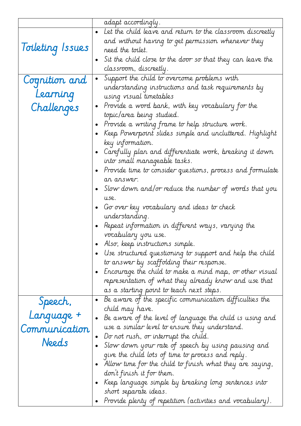|                         | adapt accordingly.                                                      |
|-------------------------|-------------------------------------------------------------------------|
|                         | Let the child leave and return to the classroom discreetly              |
|                         | and without having to get permission whenever they                      |
| <i>loileting Issues</i> | need the toilet.                                                        |
|                         | Sit the child close to the door so that they can leave the<br>$\bullet$ |
|                         | classroom, discreetly.                                                  |
|                         | Support the child to overcome problems with<br>$\bullet$                |
| Cognition and           | understanding instructions and task requirements by                     |
| Learning                | using visual timetables                                                 |
| Challenges              | Provide a word bank, with key vocabulary for the<br>$\bullet$           |
|                         | topic/area being studied.                                               |
|                         | Provide a writing frame to help structure work.<br>$\bullet$            |
|                         | Keep Powerpoint slides simple and uncluttered. Highlight<br>$\bullet$   |
|                         | key information.                                                        |
|                         | Carefully plan and differentiate work, breaking it down                 |
|                         | into small manageable tasks.                                            |
|                         | Provide time to consider questions, process and formulate<br>$\bullet$  |
|                         | an answer.                                                              |
|                         | Slow down and/or reduce the number of words that you<br>$\bullet$       |
|                         | use.                                                                    |
|                         | Go over key vocabulary and ideas to check                               |
|                         | understanding.                                                          |
|                         | Repeat information in different ways, varying the                       |
|                         | vocabulary you use.                                                     |
|                         | Also, keep instructions simple.                                         |
|                         | Use structured questioning to support and help the child                |
|                         | to answer by scaffolding their response.                                |
|                         | - Encourage the child to make a mind map, or other visual               |
|                         | representation of what they already know and use that                   |
|                         | as a starting point to teach next steps.                                |
|                         | Be aware of the specific communication difficulties the<br>$\bullet$    |
| Speech,                 | child may have.                                                         |
| Language +              | Be aware of the level of language the child is using and<br>$\bullet$   |
| Communication           | use a similar level to ensure they understand.                          |
|                         | Do not rush, or interrupt the child.<br>$\bullet$                       |
| Needs                   | Slow down your rate of speech by using pausing and<br>$\bullet$         |
|                         | give the child lots of time to process and reply.                       |
|                         | Allow time for the child to finish what they are saying,                |
|                         | don't finish it for them.                                               |
|                         | Keep language simple by breaking long sentences into                    |
|                         | short separate ideas.                                                   |
|                         | Provide plenty of repetition (activities and vocabulary).               |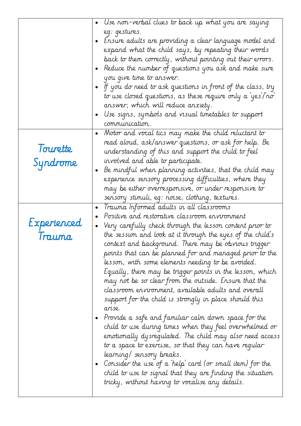|                       | Use non-verbal clues to back up what you are saying<br>eg: gestures.<br>Ensure adults are providing a clear language model and<br>expand what the child says, by repeating their words<br>back to them correctly, without pointing out their errors.<br>Reduce the number of questions you ask and make sure<br>$\bullet$<br>you give time to answer.<br>If you do need to ask questions in front of the class, try<br>to use closed questions, as these require only a 'yes <i>T</i> no'<br>answer, which will reduce anxiety.<br>Use signs, symbols and visual timetables to support                                                                                                                                                                                                                                                                                                                                                                                                                                                                           |
|-----------------------|------------------------------------------------------------------------------------------------------------------------------------------------------------------------------------------------------------------------------------------------------------------------------------------------------------------------------------------------------------------------------------------------------------------------------------------------------------------------------------------------------------------------------------------------------------------------------------------------------------------------------------------------------------------------------------------------------------------------------------------------------------------------------------------------------------------------------------------------------------------------------------------------------------------------------------------------------------------------------------------------------------------------------------------------------------------|
| Tourette<br>Syndrome  | communication.<br>Motor and vocal tics may make the child reluctant to<br>$\bullet$<br>read aloud, ask/answer questions, or ask for help. Be<br>understanding of this and support the child to feel<br>involved and able to participate.<br>Be mindful when planning activities, that the child may<br>experience sensory processing difficulties, where they<br>may be either overresponsive, or under responsive to<br>sensory stimuli, eg: noise, clothing, textures.<br>Trauma Informed adults in all classrooms<br>$\bullet$                                                                                                                                                                                                                                                                                                                                                                                                                                                                                                                                |
| Experienced<br>Trauma | Positive and restorative classroom environment<br>Very carefully check through the lesson content prior to<br>$\bullet$<br>the session and look at it through the eyes of the child's<br>context and background. There may be obvious trigger<br>points that can be planned for and managed prior to the<br>lesson, with some elements needing to be avoided.<br>Equally, there may be trigger points in the lesson, which<br>may not be so clear from the outside. Ensure that the<br>classroom environment, available adults and overall<br>support for the child is strongly in place should this<br>arise.<br>Provide a safe and familiar calm down space for the<br>child to use during times when they feel overwhelmed or<br>emotionally dysregulated. The child may also need access<br>to a space to exercise, so that they can have regular<br>learning/ sensory breaks.<br>Consider the use of a 'help' card (or small item) for the<br>child to use to signal that they are finding the situation<br>tricky, without having to vocalise any details. |